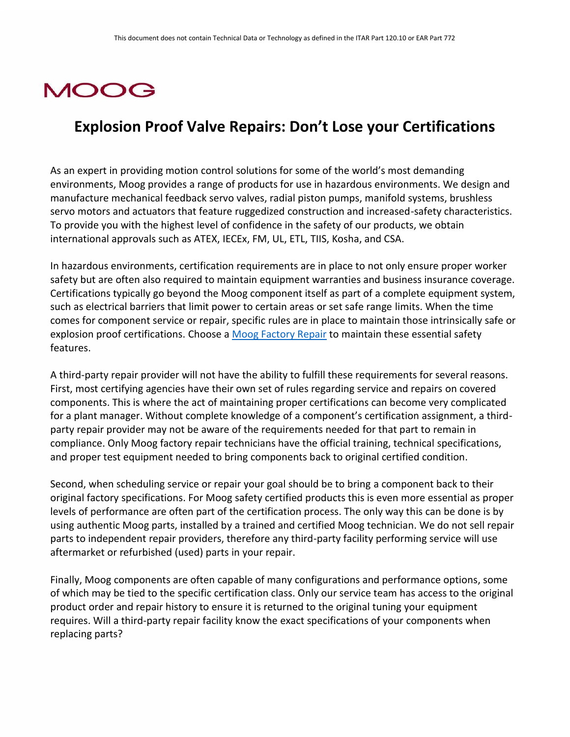## **MOOG**

## **Explosion Proof Valve Repairs: Don't Lose your Certifications**

As an expert in providing motion control solutions for some of the world's most demanding environments, Moog provides a range of products for use in hazardous environments. We design and manufacture mechanical feedback servo valves, radial piston pumps, manifold systems, brushless servo motors and actuators that feature ruggedized construction and increased-safety characteristics. To provide you with the highest level of confidence in the safety of our products, we obtain international approvals such as ATEX, IECEx, FM, UL, ETL, TIIS, Kosha, and CSA.

In hazardous environments, certification requirements are in place to not only ensure proper worker safety but are often also required to maintain equipment warranties and business insurance coverage. Certifications typically go beyond the Moog component itself as part of a complete equipment system, such as electrical barriers that limit power to certain areas or set safe range limits. When the time comes for component service or repair, specific rules are in place to maintain those intrinsically safe or explosion proof certifications. Choose a [Moog Factory Repair](https://www.moogglobalsupport.com/repairs-spares/factory-repairs.html) to maintain these essential safety features.

A third-party repair provider will not have the ability to fulfill these requirements for several reasons. First, most certifying agencies have their own set of rules regarding service and repairs on covered components. This is where the act of maintaining proper certifications can become very complicated for a plant manager. Without complete knowledge of a component's certification assignment, a thirdparty repair provider may not be aware of the requirements needed for that part to remain in compliance. Only Moog factory repair technicians have the official training, technical specifications, and proper test equipment needed to bring components back to original certified condition.

Second, when scheduling service or repair your goal should be to bring a component back to their original factory specifications. For Moog safety certified products this is even more essential as proper levels of performance are often part of the certification process. The only way this can be done is by using authentic Moog parts, installed by a trained and certified Moog technician. We do not sell repair parts to independent repair providers, therefore any third-party facility performing service will use aftermarket or refurbished (used) parts in your repair.

Finally, Moog components are often capable of many configurations and performance options, some of which may be tied to the specific certification class. Only our service team has access to the original product order and repair history to ensure it is returned to the original tuning your equipment requires. Will a third-party repair facility know the exact specifications of your components when replacing parts?